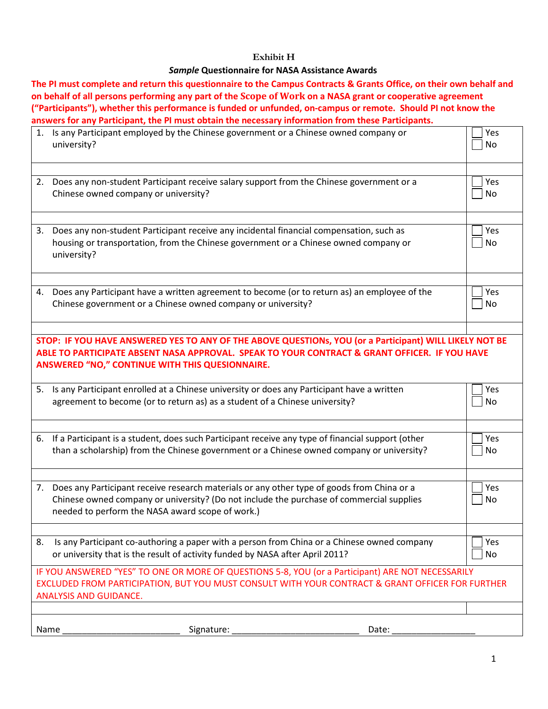## **Exhibit H**

### *Sample* **Questionnaire for NASA Assistance Awards**

**The PI must complete and return this questionnaire to the Campus Contracts & Grants Office, on their own behalf and on behalf of all persons performing any part of the Scope of Work on a NASA grant or cooperative agreement ("Participants"), whether this performance is funded or unfunded, on-campus or remote. Should PI not know the answers for any Participant, the PI must obtain the necessary information from these Participants.**

|                                                                                                                                                                                                                                                                    | 1. Is any Participant employed by the Chinese government or a Chinese owned company or<br>university?                                                                                                                                         | Yes<br>No. |  |
|--------------------------------------------------------------------------------------------------------------------------------------------------------------------------------------------------------------------------------------------------------------------|-----------------------------------------------------------------------------------------------------------------------------------------------------------------------------------------------------------------------------------------------|------------|--|
|                                                                                                                                                                                                                                                                    | 2. Does any non-student Participant receive salary support from the Chinese government or a<br>Chinese owned company or university?                                                                                                           | Yes<br>No  |  |
| 3.                                                                                                                                                                                                                                                                 | Does any non-student Participant receive any incidental financial compensation, such as<br>housing or transportation, from the Chinese government or a Chinese owned company or<br>university?                                                | Yes<br>No. |  |
|                                                                                                                                                                                                                                                                    | 4. Does any Participant have a written agreement to become (or to return as) an employee of the<br>Chinese government or a Chinese owned company or university?                                                                               | Yes<br>No  |  |
| STOP: IF YOU HAVE ANSWERED YES TO ANY OF THE ABOVE QUESTIONs, YOU (or a Participant) WILL LIKELY NOT BE<br>ABLE TO PARTICIPATE ABSENT NASA APPROVAL. SPEAK TO YOUR CONTRACT & GRANT OFFICER. IF YOU HAVE<br><b>ANSWERED "NO," CONTINUE WITH THIS QUESIONNAIRE.</b> |                                                                                                                                                                                                                                               |            |  |
| 5.                                                                                                                                                                                                                                                                 | Is any Participant enrolled at a Chinese university or does any Participant have a written<br>agreement to become (or to return as) as a student of a Chinese university?                                                                     | Yes<br>No. |  |
|                                                                                                                                                                                                                                                                    | 6. If a Participant is a student, does such Participant receive any type of financial support (other<br>than a scholarship) from the Chinese government or a Chinese owned company or university?                                             | Yes<br>No  |  |
|                                                                                                                                                                                                                                                                    | 7. Does any Participant receive research materials or any other type of goods from China or a<br>Chinese owned company or university? (Do not include the purchase of commercial supplies<br>needed to perform the NASA award scope of work.) | Yes<br>No  |  |
| 8.                                                                                                                                                                                                                                                                 | Is any Participant co-authoring a paper with a person from China or a Chinese owned company<br>or university that is the result of activity funded by NASA after April 2011?                                                                  | Yes<br>No  |  |
|                                                                                                                                                                                                                                                                    | IF YOU ANSWERED "YES" TO ONE OR MORE OF QUESTIONS 5-8, YOU (or a Participant) ARE NOT NECESSARILY<br>EXCLUDED FROM PARTICIPATION, BUT YOU MUST CONSULT WITH YOUR CONTRACT & GRANT OFFICER FOR FURTHER<br><b>ANALYSIS AND GUIDANCE.</b>        |            |  |
|                                                                                                                                                                                                                                                                    | Signature:<br>Name<br>Date:                                                                                                                                                                                                                   |            |  |